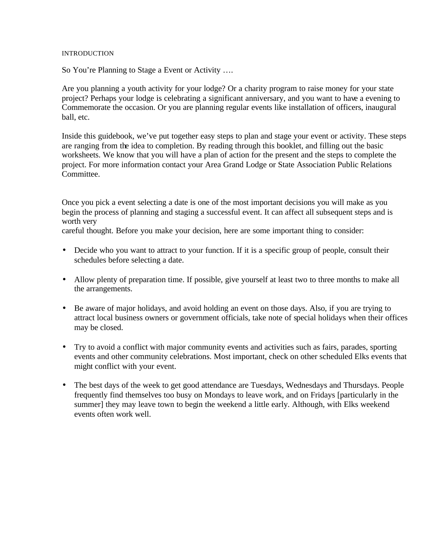#### **INTRODUCTION**

So You're Planning to Stage a Event or Activity ….

Are you planning a youth activity for your lodge? Or a charity program to raise money for your state project? Perhaps your lodge is celebrating a significant anniversary, and you want to have a evening to Commemorate the occasion. Or you are planning regular events like installation of officers, inaugural ball, etc.

Inside this guidebook, we've put together easy steps to plan and stage your event or activity. These steps are ranging from the idea to completion. By reading through this booklet, and filling out the basic worksheets. We know that you will have a plan of action for the present and the steps to complete the project. For more information contact your Area Grand Lodge or State Association Public Relations Committee.

Once you pick a event selecting a date is one of the most important decisions you will make as you begin the process of planning and staging a successful event. It can affect all subsequent steps and is worth very

careful thought. Before you make your decision, here are some important thing to consider:

- Decide who you want to attract to your function. If it is a specific group of people, consult their schedules before selecting a date.
- Allow plenty of preparation time. If possible, give yourself at least two to three months to make all the arrangements.
- Be aware of major holidays, and avoid holding an event on those days. Also, if you are trying to attract local business owners or government officials, take note of special holidays when their offices may be closed.
- Try to avoid a conflict with major community events and activities such as fairs, parades, sporting events and other community celebrations. Most important, check on other scheduled Elks events that might conflict with your event.
- The best days of the week to get good attendance are Tuesdays, Wednesdays and Thursdays. People frequently find themselves too busy on Mondays to leave work, and on Fridays [particularly in the summer] they may leave town to begin the weekend a little early. Although, with Elks weekend events often work well.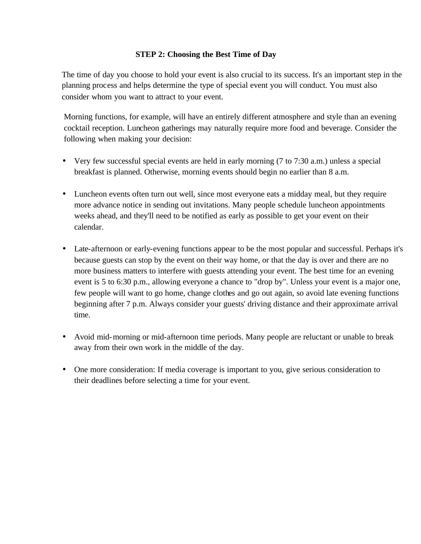## **STEP 2: Choosing the Best Time of Day**

The time of day you choose to hold your event is also crucial to its success. It's an important step in the planning process and helps determine the type of special event you will conduct. You must also consider whom you want to attract to your event.

Morning functions, for example, will have an entirely different atmosphere and style than an evening cocktail reception. Luncheon gatherings may naturally require more food and beverage. Consider the following when making your decision:

- Very few successful special events are held in early morning (7 to 7:30 a.m.) unless a special breakfast is planned. Otherwise, morning events should begin no earlier than 8 a.m.
- Luncheon events often turn out well, since most everyone eats a midday meal, but they require more advance notice in sending out invitations. Many people schedule luncheon appointments weeks ahead, and they'll need to be notified as early as possible to get your event on their calendar.
- Late-afternoon or early-evening functions appear to be the most popular and successful. Perhaps it's because guests can stop by the event on their way home, or that the day is over and there are no more business matters to interfere with guests attending your event. The best time for an evening event is 5 to 6:30 p.m., allowing everyone a chance to "drop by". Unless your event is a major one, few people will want to go home, change clothes and go out again, so avoid late evening functions beginning after 7 p.m. Always consider your guests' driving distance and their approximate arrival time.
- Avoid mid-morning or mid-afternoon time periods. Many people are reluctant or unable to break away from their own work in the middle of the day.
- One more consideration: If media coverage is important to you, give serious consideration to their deadlines before selecting a time for your event.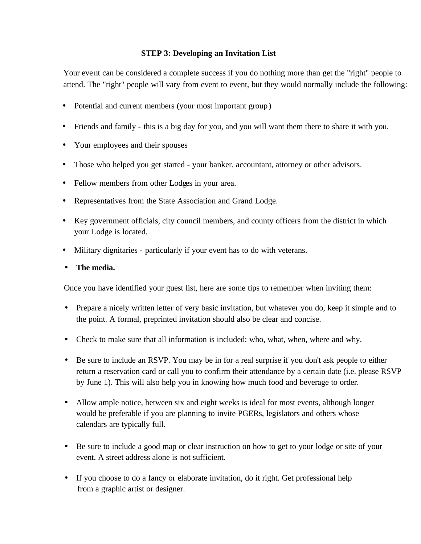## **STEP 3: Developing an Invitation List**

Your event can be considered a complete success if you do nothing more than get the "right" people to attend. The "right" people will vary from event to event, but they would normally include the following:

- Potential and current members (your most important group)
- Friends and family this is a big day for you, and you will want them there to share it with you.
- Your employees and their spouses
- Those who helped you get started your banker, accountant, attorney or other advisors.
- Fellow members from other Lodges in your area.
- Representatives from the State Association and Grand Lodge.
- Key government officials, city council members, and county officers from the district in which your Lodge is located.
- Military dignitaries particularly if your event has to do with veterans.
- **The media.**

Once you have identified your guest list, here are some tips to remember when inviting them:

- Prepare a nicely written letter of very basic invitation, but whatever you do, keep it simple and to the point. A formal, preprinted invitation should also be clear and concise.
- Check to make sure that all information is included: who, what, when, where and why.
- Be sure to include an RSVP. You may be in for a real surprise if you don't ask people to either return a reservation card or call you to confirm their attendance by a certain date (i.e. please RSVP by June 1). This will also help you in knowing how much food and beverage to order.
- Allow ample notice, between six and eight weeks is ideal for most events, although longer would be preferable if you are planning to invite PGERs, legislators and others whose calendars are typically full.
- Be sure to include a good map or clear instruction on how to get to your lodge or site of your event. A street address alone is not sufficient.
- If you choose to do a fancy or elaborate invitation, do it right. Get professional help from a graphic artist or designer.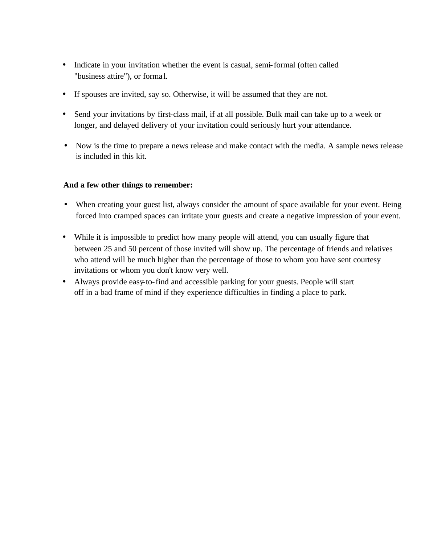- Indicate in your invitation whether the event is casual, semi-formal (often called "business attire"), or forma l.
- If spouses are invited, say so. Otherwise, it will be assumed that they are not.
- Send your invitations by first-class mail, if at all possible. Bulk mail can take up to a week or longer, and delayed delivery of your invitation could seriously hurt your attendance.
- Now is the time to prepare a news release and make contact with the media. A sample news release is included in this kit.

## **And a few other things to remember:**

- When creating your guest list, always consider the amount of space available for your event. Being forced into cramped spaces can irritate your guests and create a negative impression of your event.
- While it is impossible to predict how many people will attend, you can usually figure that between 25 and 50 percent of those invited will show up. The percentage of friends and relatives who attend will be much higher than the percentage of those to whom you have sent courtesy invitations or whom you don't know very well.
- Always provide easy-to-find and accessible parking for your guests. People will start off in a bad frame of mind if they experience difficulties in finding a place to park.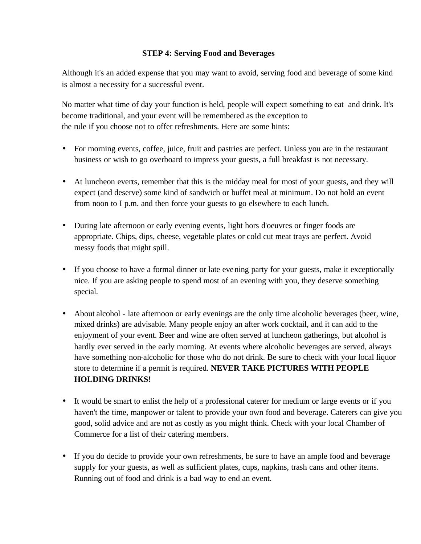## **STEP 4: Serving Food and Beverages**

Although it's an added expense that you may want to avoid, serving food and beverage of some kind is almost a necessity for a successful event.

No matter what time of day your function is held, people will expect something to eat and drink. It's become traditional, and your event will be remembered as the exception to the rule if you choose not to offer refreshments. Here are some hints:

- For morning events, coffee, juice, fruit and pastries are perfect. Unless you are in the restaurant business or wish to go overboard to impress your guests, a full breakfast is not necessary.
- At luncheon events, remember that this is the midday meal for most of your guests, and they will expect (and deserve) some kind of sandwich or buffet meal at minimum. Do not hold an event from noon to I p.m. and then force your guests to go elsewhere to each lunch.
- During late afternoon or early evening events, light hors d'oeuvres or finger foods are appropriate. Chips, dips, cheese, vegetable plates or cold cut meat trays are perfect. Avoid messy foods that might spill.
- If you choose to have a formal dinner or late evening party for your guests, make it exceptionally nice. If you are asking people to spend most of an evening with you, they deserve something special.
- About alcohol late afternoon or early evenings are the only time alcoholic beverages (beer, wine, mixed drinks) are advisable. Many people enjoy an after work cocktail, and it can add to the enjoyment of your event. Beer and wine are often served at luncheon gatherings, but alcohol is hardly ever served in the early morning. At events where alcoholic beverages are served, always have something non-alcoholic for those who do not drink. Be sure to check with your local liquor store to determine if a permit is required. **NEVER TAKE PICTURES WITH PEOPLE HOLDING DRINKS!**
- It would be smart to enlist the help of a professional caterer for medium or large events or if you haven't the time, manpower or talent to provide your own food and beverage. Caterers can give you good, solid advice and are not as costly as you might think. Check with your local Chamber of Commerce for a list of their catering members.
- If you do decide to provide your own refreshments, be sure to have an ample food and beverage supply for your guests, as well as sufficient plates, cups, napkins, trash cans and other items. Running out of food and drink is a bad way to end an event.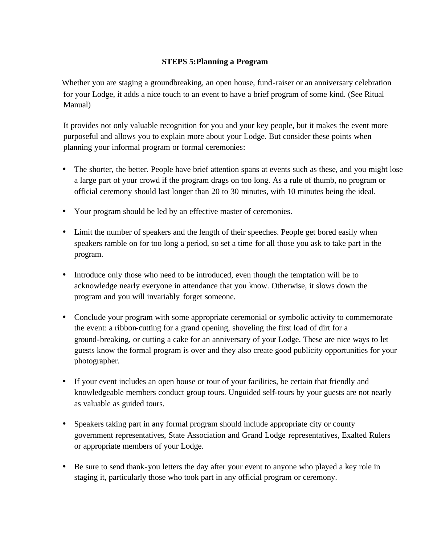## **STEPS 5:Planning a Program**

Whether you are staging a groundbreaking, an open house, fund-raiser or an anniversary celebration for your Lodge, it adds a nice touch to an event to have a brief program of some kind. (See Ritual Manual)

It provides not only valuable recognition for you and your key people, but it makes the event more purposeful and allows you to explain more about your Lodge. But consider these points when planning your informal program or formal ceremonies:

- The shorter, the better. People have brief attention spans at events such as these, and you might lose a large part of your crowd if the program drags on too long. As a rule of thumb, no program or official ceremony should last longer than 20 to 30 minutes, with 10 minutes being the ideal.
- Your program should be led by an effective master of ceremonies.
- Limit the number of speakers and the length of their speeches. People get bored easily when speakers ramble on for too long a period, so set a time for all those you ask to take part in the program.
- Introduce only those who need to be introduced, even though the temptation will be to acknowledge nearly everyone in attendance that you know. Otherwise, it slows down the program and you will invariably forget someone.
- Conclude your program with some appropriate ceremonial or symbolic activity to commemorate the event: a ribbon-cutting for a grand opening, shoveling the first load of dirt for a ground-breaking, or cutting a cake for an anniversary of your Lodge. These are nice ways to let guests know the formal program is over and they also create good publicity opportunities for your photographer.
- If your event includes an open house or tour of your facilities, be certain that friendly and knowledgeable members conduct group tours. Unguided self-tours by your guests are not nearly as valuable as guided tours.
- Speakers taking part in any formal program should include appropriate city or county government representatives, State Association and Grand Lodge representatives, Exalted Rulers or appropriate members of your Lodge.
- Be sure to send thank-you letters the day after your event to anyone who played a key role in staging it, particularly those who took part in any official program or ceremony.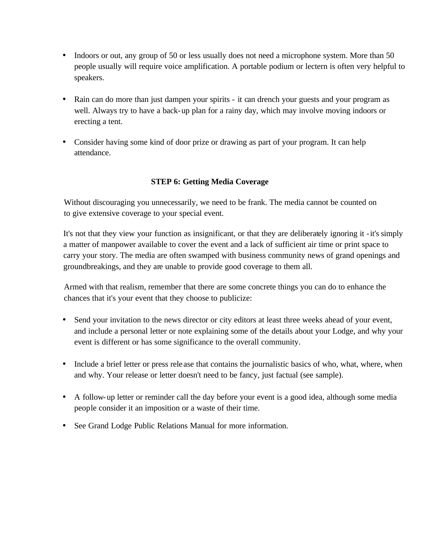- Indoors or out, any group of 50 or less usually does not need a microphone system. More than 50 people usually will require voice amplification. A portable podium or lectern is often very helpful to speakers.
- Rain can do more than just dampen your spirits it can drench your guests and your program as well. Always try to have a back-up plan for a rainy day, which may involve moving indoors or erecting a tent.
- Consider having some kind of door prize or drawing as part of your program. It can help attendance.

## **STEP 6: Getting Media Coverage**

Without discouraging you unnecessarily, we need to be frank. The media cannot be counted on to give extensive coverage to your special event.

It's not that they view your function as insignificant, or that they are deliberately ignoring it -it's simply a matter of manpower available to cover the event and a lack of sufficient air time or print space to carry your story. The media are often swamped with business community news of grand openings and groundbreakings, and they are unable to provide good coverage to them all.

Armed with that realism, remember that there are some concrete things you can do to enhance the chances that it's your event that they choose to publicize:

- Send your invitation to the news director or city editors at least three weeks ahead of your event, and include a personal letter or note explaining some of the details about your Lodge, and why your event is different or has some significance to the overall community.
- Include a brief letter or press release that contains the journalistic basics of who, what, where, when and why. Your release or letter doesn't need to be fancy, just factual (see sample).
- A follow-up letter or reminder call the day before your event is a good idea, although some media people consider it an imposition or a waste of their time.
- See Grand Lodge Public Relations Manual for more information.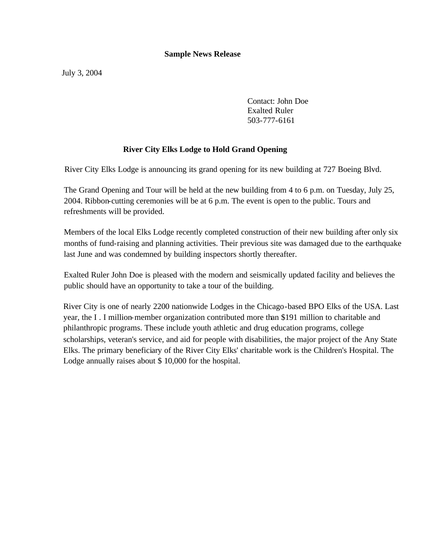#### **Sample News Release**

July 3, 2004

Contact: John Doe **Exalted Ruler** 503-777-6161

### **River City Elks Lodge to Hold Grand Opening**

River City Elks Lodge is announcing its grand opening for its new building at 727 Boeing Blvd.

The Grand Opening and Tour will be held at the new building from 4 to 6 p.m. on Tuesday, July 25, 2004. Ribbon-cutting ceremonies will be at 6 p.m. The event is open to the public. Tours and refreshments will be provided.

Members of the local Elks Lodge recently completed construction of their new building after only six months of fund-raising and planning activities. Their previous site was damaged due to the earthquake last June and was condemned by building inspectors shortly thereafter.

Exalted Ruler John Doe is pleased with the modern and seismically updated facility and believes the public should have an opportunity to take a tour of the building.

River City is one of nearly 2200 nationwide Lodges in the Chicago-based BPO Elks of the USA. Last year, the I . I million-member organization contributed more than \$191 million to charitable and philanthropic programs. These include youth athletic and drug education programs, college scholarships, veteran's service, and aid for people with disabilities, the major project of the Any State Elks. The primary beneficiary of the River City Elks' charitable work is the Children's Hospital. The Lodge annually raises about \$ 10,000 for the hospital.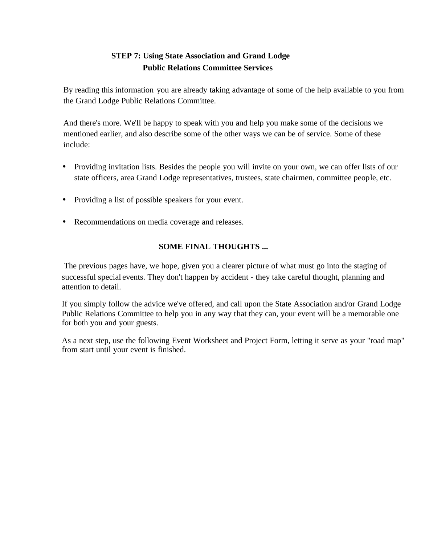## **STEP 7: Using State Association and Grand Lodge Public Relations Committee Services**

By reading this information you are already taking advantage of some of the help available to you from the Grand Lodge Public Relations Committee.

And there's more. We'll be happy to speak with you and help you make some of the decisions we mentioned earlier, and also describe some of the other ways we can be of service. Some of these include:

- Providing invitation lists. Besides the people you will invite on your own, we can offer lists of our state officers, area Grand Lodge representatives, trustees, state chairmen, committee people, etc.
- Providing a list of possible speakers for your event.
- Recommendations on media coverage and releases.

## **SOME FINAL THOUGHTS ...**

The previous pages have, we hope, given you a clearer picture of what must go into the staging of successful special events. They don't happen by accident - they take careful thought, planning and attention to detail.

If you simply follow the advice we've offered, and call upon the State Association and/or Grand Lodge Public Relations Committee to help you in any way that they can, your event will be a memorable one for both you and your guests.

As a next step, use the following Event Worksheet and Project Form, letting it serve as your "road map" from start until your event is finished.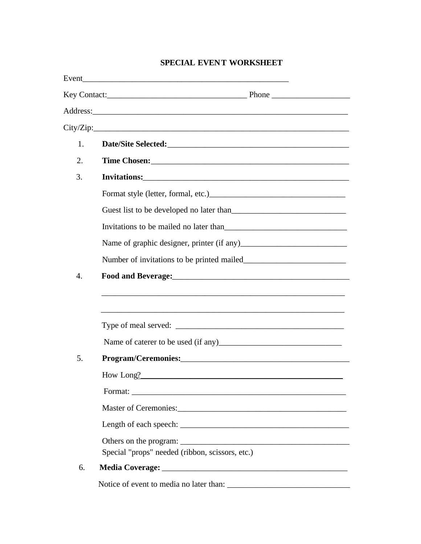## SPECIAL EVENT WORKSHEET

|    | City/Zip:                                                         |  |  |  |
|----|-------------------------------------------------------------------|--|--|--|
| 1. |                                                                   |  |  |  |
| 2. |                                                                   |  |  |  |
| 3. |                                                                   |  |  |  |
|    |                                                                   |  |  |  |
|    |                                                                   |  |  |  |
|    |                                                                   |  |  |  |
|    |                                                                   |  |  |  |
|    |                                                                   |  |  |  |
| 4. | Food and Beverage: Manual Communication of the Book and Beverage: |  |  |  |
|    |                                                                   |  |  |  |
|    |                                                                   |  |  |  |
|    |                                                                   |  |  |  |
|    |                                                                   |  |  |  |
| 5. |                                                                   |  |  |  |
|    | How Long?                                                         |  |  |  |
|    |                                                                   |  |  |  |
|    |                                                                   |  |  |  |
|    |                                                                   |  |  |  |
|    |                                                                   |  |  |  |
|    | Special "props" needed (ribbon, scissors, etc.)                   |  |  |  |
| 6. | Media Coverage: New York Coverage:                                |  |  |  |
|    |                                                                   |  |  |  |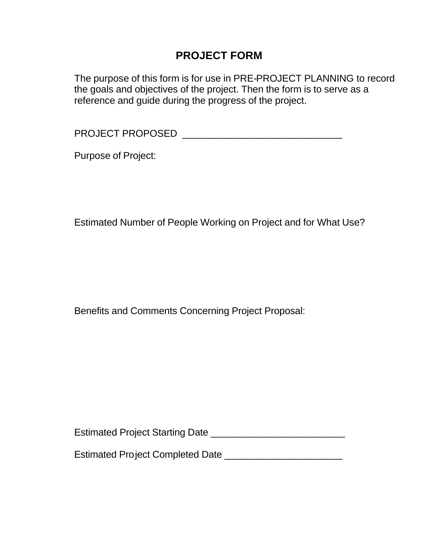## **PROJECT FORM**

The purpose of this form is for use in PRE-PROJECT PLANNING to record the goals and objectives of the project. Then the form is to serve as a reference and guide during the progress of the project.

PROJECT PROPOSED \_\_\_\_\_\_\_\_\_\_\_\_\_\_\_\_\_\_\_\_\_\_\_\_\_\_\_\_\_\_

Purpose of Project:

Estimated Number of People Working on Project and for What Use?

Benefits and Comments Concerning Project Proposal:

Estimated Project Starting Date \_\_\_\_\_\_\_\_\_\_\_\_\_\_\_\_\_\_\_\_\_\_\_\_\_

Estimated Project Completed Date \_\_\_\_\_\_\_\_\_\_\_\_\_\_\_\_\_\_\_\_\_\_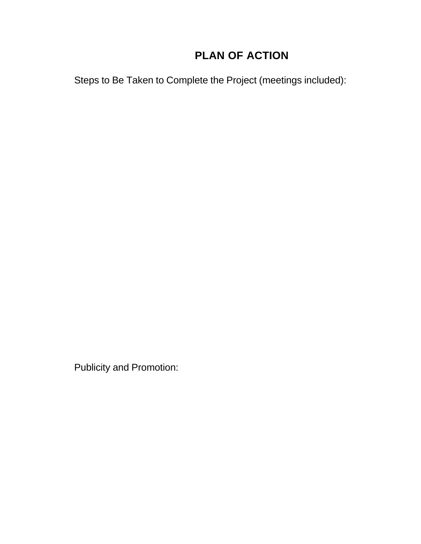# **PLAN OF ACTION**

Steps to Be Taken to Complete the Project (meetings included):

Publicity and Promotion: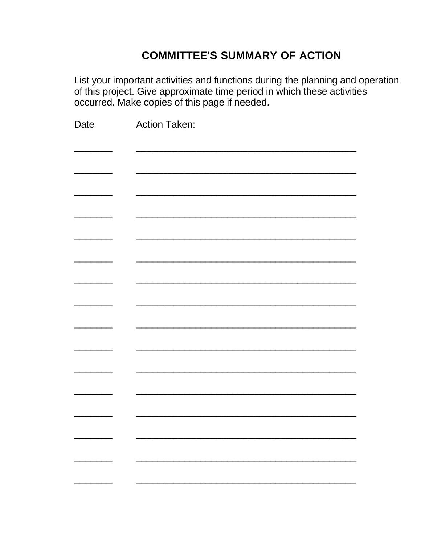## **COMMITTEE'S SUMMARY OF ACTION**

List your important activities and functions during the planning and operation of this project. Give approximate time period in which these activities occurred. Make copies of this page if needed.

| Date | <b>Action Taken:</b> |
|------|----------------------|
|      |                      |
|      |                      |
|      |                      |
|      |                      |
|      |                      |
|      |                      |
|      |                      |
|      |                      |
|      |                      |
|      |                      |
|      |                      |
|      |                      |
|      |                      |
|      |                      |
|      |                      |
|      |                      |
|      |                      |
|      |                      |
|      |                      |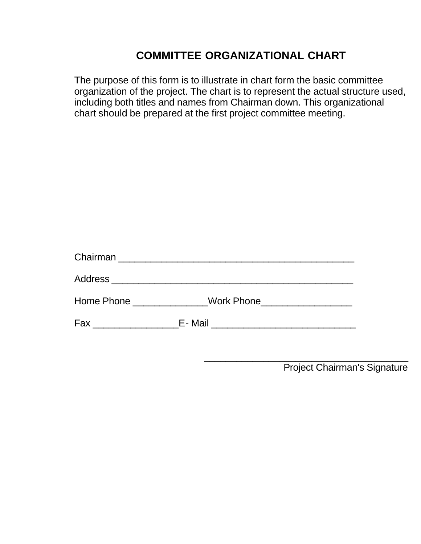## **COMMITTEE ORGANIZATIONAL CHART**

The purpose of this form is to illustrate in chart form the basic committee organization of the project. The chart is to represent the actual structure used, including both titles and names from Chairman down. This organizational chart should be prepared at the first project committee meeting.

| Address ___________________________ |                                |
|-------------------------------------|--------------------------------|
|                                     | Work Phone____________________ |
| Fax ___________________             |                                |

\_\_\_\_\_\_\_\_\_\_\_\_\_\_\_\_\_\_\_\_\_\_\_\_\_\_\_\_\_\_\_\_\_\_\_\_\_\_ Project Chairman's Signature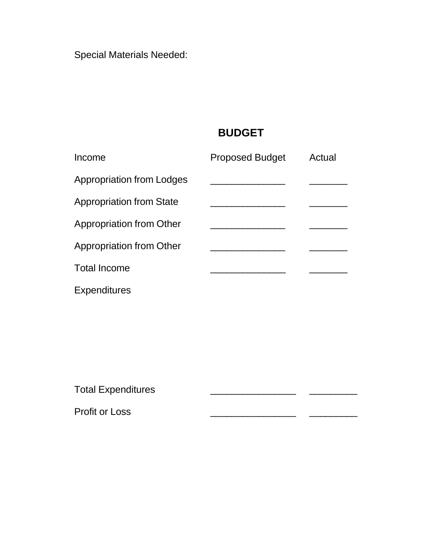Special Materials Needed:

# **BUDGET**

| Income                           | <b>Proposed Budget</b> | Actual |
|----------------------------------|------------------------|--------|
| <b>Appropriation from Lodges</b> |                        |        |
| <b>Appropriation from State</b>  |                        |        |
| Appropriation from Other         |                        |        |
| Appropriation from Other         |                        |        |
| <b>Total Income</b>              |                        |        |
| <b>Expenditures</b>              |                        |        |

Total Expenditures

Profit or Loss